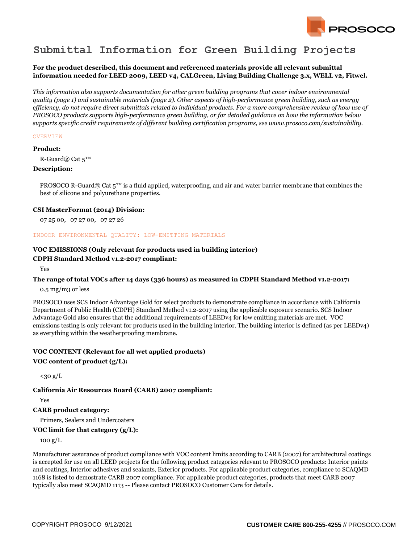

# **Submittal Information for Green Building Projects**

## **For the product described, this document and referenced materials provide all relevant submittal information needed for LEED 2009, LEED v4, CALGreen, Living Building Challenge 3.x, WELL v2, Fitwel.**

*This information also supports documentation for other green building programs that cover indoor environmental quality (page 1) and sustainable materials (page 2). Other aspects of high-performance green building, such as energy efficiency, do not require direct submittals related to individual products. For a more comprehensive review of how use of PROSOCO products supports high-performance green building, or for detailed guidance on how the information below supports specific credit requirements of different building certification programs, see www.prosoco.com/sustainability.*

### **OVERVIEW**

#### **Product:**

R-Guard $\mathbb{R}$  Cat  $5^{\text{TM}}$ 

#### **Description:**

PROSOCO R-Guard® Cat  $5^m$  is a fluid applied, waterproofing, and air and water barrier membrane that combines the best of silicone and polyurethane properties.

#### **CSI MasterFormat (2014) Division:**

07 25 00, 07 27 00, 07 27 26

#### INDOOR ENVIRONMENTAL QUALITY: LOW-EMITTING MATERIALS

# **VOC EMISSIONS (Only relevant for products used in building interior)**

## **CDPH Standard Method v1.2-2017 compliant:**

Yes

### **The range of total VOCs after 14 days (336 hours) as measured in CDPH Standard Method v1.2-2017:**

0.5 mg/m3 or less

PROSOCO uses SCS Indoor Advantage Gold for select products to demonstrate compliance in accordance with California Department of Public Health (CDPH) Standard Method v1.2-2017 using the applicable exposure scenario. SCS Indoor Advantage Gold also ensures that the additional requirements of LEEDv4 for low emitting materials are met. VOC emissions testing is only relevant for products used in the building interior. The building interior is defined (as per LEEDv4) as everything within the weatherproofing membrane.

# **VOC CONTENT (Relevant for all wet applied products)**

## **VOC content of product (g/L):**

 $<sub>30 g/L</sub>$ </sub>

### **California Air Resources Board (CARB) 2007 compliant:**

Yes

## **CARB product category:**

Primers, Sealers and Undercoaters

## **VOC limit for that category (g/L):**

100 g/L

Manufacturer assurance of product compliance with VOC content limits according to CARB (2007) for architectural coatings is accepted for use on all LEED projects for the following product categories relevant to PROSOCO products: Interior paints and coatings, Interior adhesives and sealants, Exterior products. For applicable product categories, compliance to SCAQMD 1168 is listed to demostrate CARB 2007 compliance. For applicable product categories, products that meet CARB 2007 typically also meet SCAQMD 1113 -- Please contact PROSOCO Customer Care for details.